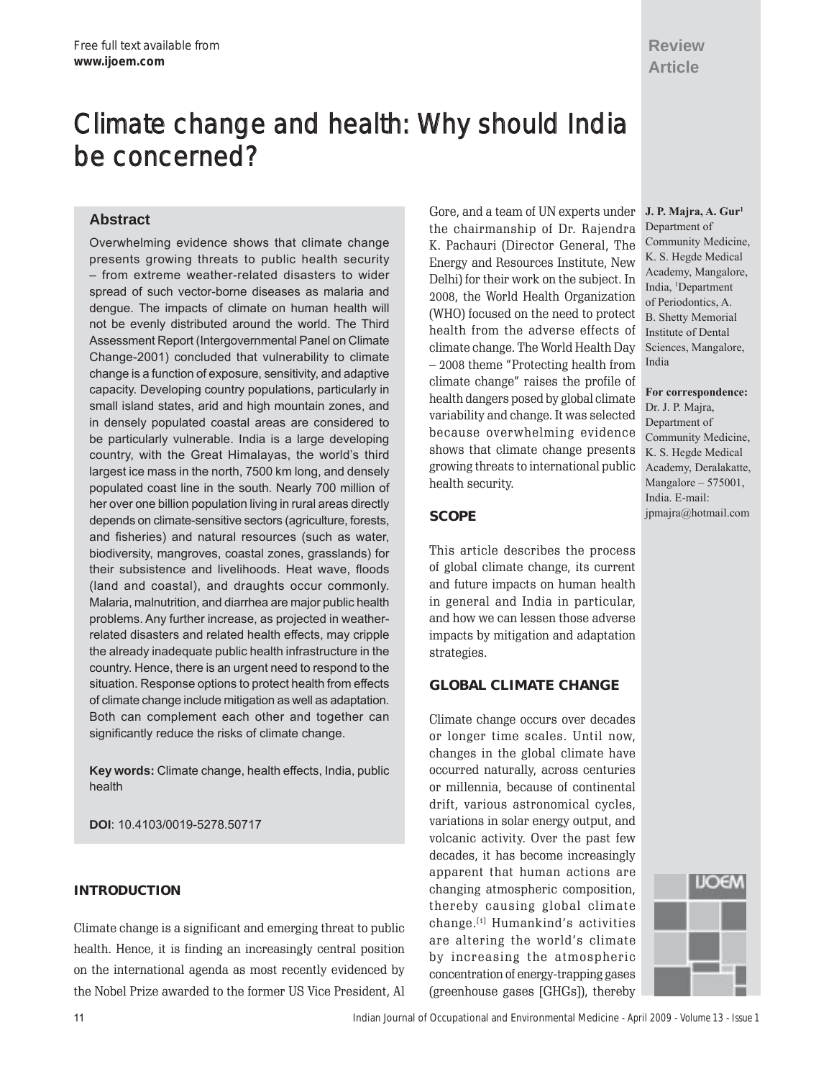## **Review Article**

# Climate change and health: Why should India be concerned?

## **Abstract**

Overwhelming evidence shows that climate change presents growing threats to public health security - from extreme weather-related disasters to wider spread of such vector-borne diseases as malaria and dengue. The impacts of climate on human health will not be evenly distributed around the world. The Third Assessment Report (Intergovernmental Panel on Climate Change-2001) concluded that vulnerability to climate change is a function of exposure, sensitivity, and adaptive capacity. Developing country populations, particularly in small island states, arid and high mountain zones, and in densely populated coastal areas are considered to be particularly vulnerable. India is a large developing country, with the Great Himalayas, the world's third largest ice mass in the north, 7500 km long, and densely populated coast line in the south. Nearly 700 million of her over one billion population living in rural areas directly depends on climate-sensitive sectors (agriculture, forests, and fisheries) and natural resources (such as water, biodiversity, mangroves, coastal zones, grasslands) for their subsistence and livelihoods. Heat wave, floods (land and coastal), and draughts occur commonly. Malaria, malnutrition, and diarrhea are major public health problems. Any further increase, as projected in weatherrelated disasters and related health effects, may cripple the already inadequate public health infrastructure in the country. Hence, there is an urgent need to respond to the situation. Response options to protect health from effects of climate change include mitigation as well as adaptation. Both can complement each other and together can significantly reduce the risks of climate change.

**Key words:** Climate change, health effects, India, public health

**DOI**: 10.4103/0019-5278.50717

## **INTRODUCTION**

Climate change is a significant and emerging threat to public health. Hence, it is finding an increasingly central position on the international agenda as most recently evidenced by the Nobel Prize awarded to the former US Vice President, Al

Gore, and a team of UN experts under the chairmanship of Dr. Rajendra K. Pachauri (Director General, The Energy and Resources Institute, New Delhi) for their work on the subject. In 2008, the World Health Organization (WHO) focused on the need to protect health from the adverse effects of climate change. The World Health Day - 2008 theme "Protecting health from climate change" raises the profile of health dangers posed by global climate variability and change. It was selected because overwhelming evidence shows that climate change presents growing threats to international public health security.

## **SCOPE**

This article describes the process of global climate change, its current and future impacts on human health in general and India in particular, and how we can lessen those adverse impacts by mitigation and adaptation strategies.

## **GLOBAL CLIMATE CHANGE**

Climate change occurs over decades or longer time scales. Until now, changes in the global climate have occurred naturally, across centuries or millennia, because of continental drift, various astronomical cycles, variations in solar energy output, and volcanic activity. Over the past few decades, it has become increasingly apparent that human actions are changing atmospheric composition, thereby causing global climate change.<sup>[1]</sup> Humankind's activities are altering the world's climate by increasing the atmospheric concentration of energy-trapping gases (greenhouse gases [GHGs]), thereby

**J. P. Majra, A. Gur1** Department of Community Medicine, K. S. Hegde Medical Academy, Mangalore, India, 1 Department of Periodontics, A. B. Shetty Memorial Institute of Dental Sciences, Mangalore, India

**For correspondence:** Dr. J. P. Majra, Department of Community Medicine, K. S. Hegde Medical Academy, Deralakatte, Mangalore  $- 575001$ , India. E-mail: jpmajra@hotmail.com

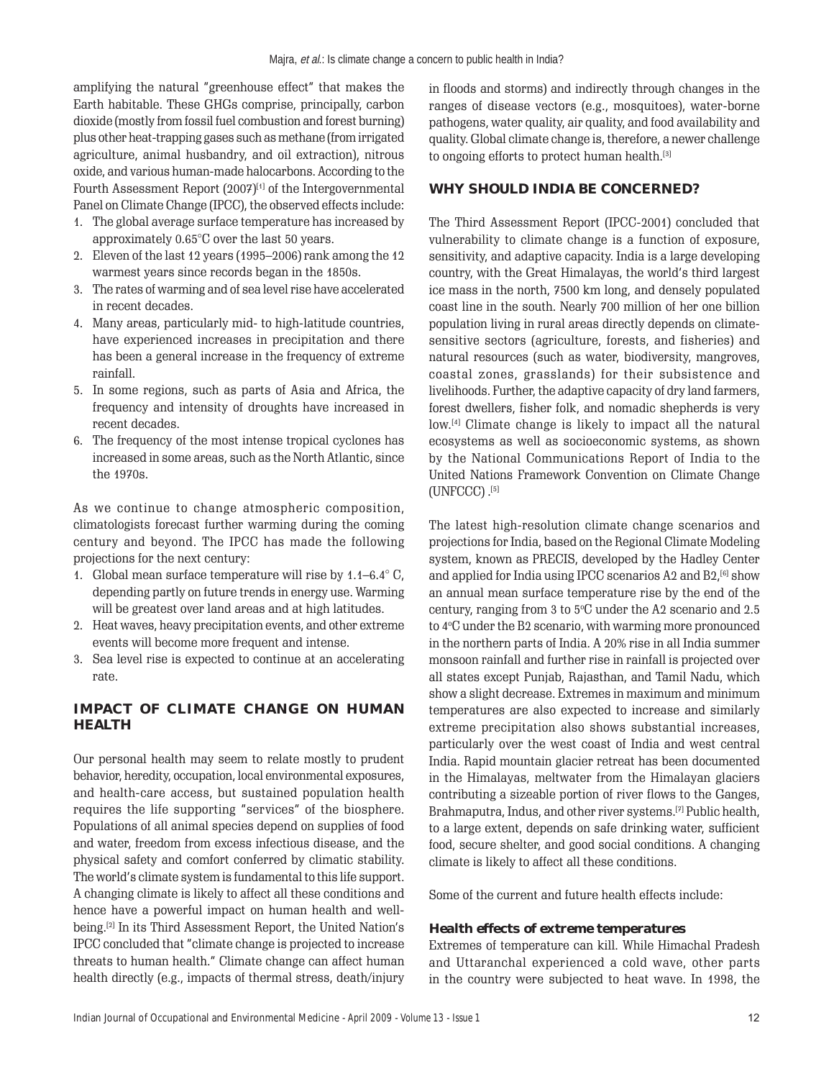amplifying the natural "greenhouse effect" that makes the Earth habitable. These GHGs comprise, principally, carbon dioxide (mostly from fossil fuel combustion and forest burning) plus other heat-trapping gases such as methane (from irrigated agriculture, animal husbandry, and oil extraction), nitrous oxide, and various human-made halocarbons. According to the Fourth Assessment Report (2007)<sup>[1]</sup> of the Intergovernmental Panel on Climate Change (IPCC), the observed effects include:

- 1. The global average surface temperature has increased by approximately 0.65°C over the last 50 years.
- 2. Eleven of the last  $12$  years ( $1995-2006$ ) rank among the  $12$ warmest years since records began in the 1850s.
- 3. The rates of warming and of sea level rise have accelerated in recent decades.
- 4. Many areas, particularly mid- to high-latitude countries, have experienced increases in precipitation and there has been a general increase in the frequency of extreme rainfall.
- 5. In some regions, such as parts of Asia and Africa, the frequency and intensity of droughts have increased in recent decades.
- 6. The frequency of the most intense tropical cyclones has increased in some areas, such as the North Atlantic, since the 1970s.

As we continue to change atmospheric composition, climatologists forecast further warming during the coming century and beyond. The IPCC has made the following projections for the next century:

- 1. Global mean surface temperature will rise by  $1.1-6.4^{\circ}$  C, depending partly on future trends in energy use. Warming will be greatest over land areas and at high latitudes.
- 2. Heat waves, heavy precipitation events, and other extreme events will become more frequent and intense.
- 3. Sea level rise is expected to continue at an accelerating rate.

## **IMPACT OF CLIMATE CHANGE ON HUMAN HEALTH**

Our personal health may seem to relate mostly to prudent behavior, heredity, occupation, local environmental exposures, and health-care access, but sustained population health requires the life supporting "services" of the biosphere. Populations of all animal species depend on supplies of food and water, freedom from excess infectious disease, and the physical safety and comfort conferred by climatic stability. The world's climate system is fundamental to this life support. A changing climate is likely to affect all these conditions and hence have a powerful impact on human health and wellbeing.<sup>[2]</sup> In its Third Assessment Report, the United Nation's IPCC concluded that "climate change is projected to increase threats to human health." Climate change can affect human health directly (e.g., impacts of thermal stress, death/injury in floods and storms) and indirectly through changes in the ranges of disease vectors (e.g., mosquitoes), water-borne pathogens, water quality, air quality, and food availability and quality. Global climate change is, therefore, a newer challenge to ongoing efforts to protect human health.[3]

## **WHY SHOULD INDIA BE CONCERNED?**

The Third Assessment Report (IPCC-2001) concluded that vulnerability to climate change is a function of exposure, sensitivity, and adaptive capacity. India is a large developing country, with the Great Himalayas, the world's third largest ice mass in the north, 7500 km long, and densely populated coast line in the south. Nearly 700 million of her one billion population living in rural areas directly depends on climatesensitive sectors (agriculture, forests, and fisheries) and natural resources (such as water, biodiversity, mangroves, coastal zones, grasslands) for their subsistence and livelihoods. Further, the adaptive capacity of dry land farmers, forest dwellers, fisher folk, and nomadic shepherds is very low.<sup>[4]</sup> Climate change is likely to impact all the natural ecosystems as well as socioeconomic systems, as shown by the National Communications Report of India to the United Nations Framework Convention on Climate Change (UNFCCC) . [5]

The latest high-resolution climate change scenarios and projections for India, based on the Regional Climate Modeling system, known as PRECIS, developed by the Hadley Center and applied for India using IPCC scenarios A2 and B2,<sup>[6]</sup> show an annual mean surface temperature rise by the end of the century, ranging from  $3$  to  $5^{\circ}$ C under the A2 scenario and 2.5 to 4°C under the B2 scenario, with warming more pronounced in the northern parts of India. A 20% rise in all India summer monsoon rainfall and further rise in rainfall is projected over all states except Punjab, Rajasthan, and Tamil Nadu, which show a slight decrease. Extremes in maximum and minimum temperatures are also expected to increase and similarly extreme precipitation also shows substantial increases, particularly over the west coast of India and west central India. Rapid mountain glacier retreat has been documented in the Himalayas, meltwater from the Himalayan glaciers contributing a sizeable portion of river flows to the Ganges, Brahmaputra, Indus, and other river systems.[7] Public health, to a large extent, depends on safe drinking water, sufficient food, secure shelter, and good social conditions. A changing climate is likely to affect all these conditions.

Some of the current and future health effects include:

### **Health effects of extreme temperatures**

Extremes of temperature can kill. While Himachal Pradesh and Uttaranchal experienced a cold wave, other parts in the country were subjected to heat wave. In 1998, the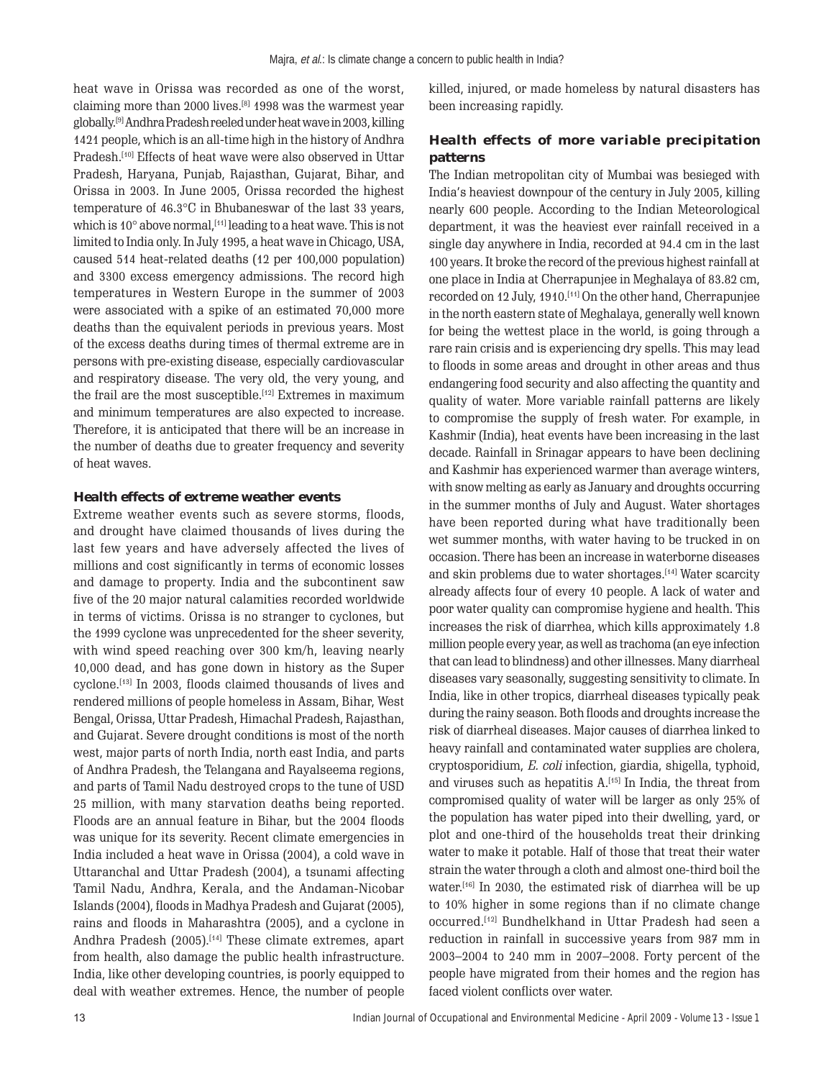heat wave in Orissa was recorded as one of the worst, claiming more than 2000 lives.<sup>[8]</sup> 1998 was the warmest year globally.[9] Andhra Pradesh reeled under heat wave in 2003, killing 1421 people, which is an all-time high in the history of Andhra Pradesh.<sup>[10]</sup> Effects of heat wave were also observed in Uttar Pradesh, Haryana, Punjab, Rajasthan, Gujarat, Bihar, and Orissa in 2003. In June 2005, Orissa recorded the highest temperature of 46.3°C in Bhubaneswar of the last 33 years, which is  $10^{\circ}$  above normal,  $[11]$  leading to a heat wave. This is not limited to India only. In July 1995, a heat wave in Chicago, USA, caused 514 heat-related deaths (12 per 100,000 population) and 3300 excess emergency admissions. The record high temperatures in Western Europe in the summer of 2003 were associated with a spike of an estimated 70,000 more deaths than the equivalent periods in previous years. Most of the excess deaths during times of thermal extreme are in persons with pre-existing disease, especially cardiovascular and respiratory disease. The very old, the very young, and the frail are the most susceptible.<sup>[12]</sup> Extremes in maximum and minimum temperatures are also expected to increase. Therefore, it is anticipated that there will be an increase in the number of deaths due to greater frequency and severity of heat waves.

#### **Health effects of extreme weather events**

Extreme weather events such as severe storms, floods, and drought have claimed thousands of lives during the last few years and have adversely affected the lives of millions and cost significantly in terms of economic losses and damage to property. India and the subcontinent saw five of the 20 major natural calamities recorded worldwide in terms of victims. Orissa is no stranger to cyclones, but the 1999 cyclone was unprecedented for the sheer severity, with wind speed reaching over 300 km/h, leaving nearly 10,000 dead, and has gone down in history as the Super cyclone.[13] In 2003, floods claimed thousands of lives and rendered millions of people homeless in Assam, Bihar, West Bengal, Orissa, Uttar Pradesh, Himachal Pradesh, Rajasthan, and Gujarat. Severe drought conditions is most of the north west, major parts of north India, north east India, and parts of Andhra Pradesh, the Telangana and Rayalseema regions, and parts of Tamil Nadu destroyed crops to the tune of USD 25 million, with many starvation deaths being reported. Floods are an annual feature in Bihar, but the 2004 floods was unique for its severity. Recent climate emergencies in India included a heat wave in Orissa (2004), a cold wave in Uttaranchal and Uttar Pradesh (2004), a tsunami affecting Tamil Nadu, Andhra, Kerala, and the Andaman-Nicobar Islands (2004), floods in Madhya Pradesh and Gujarat (2005), rains and floods in Maharashtra (2005), and a cyclone in Andhra Pradesh (2005).<sup>[14]</sup> These climate extremes, apart from health, also damage the public health infrastructure. India, like other developing countries, is poorly equipped to deal with weather extremes. Hence, the number of people killed, injured, or made homeless by natural disasters has been increasing rapidly.

## **Health effects of more variable precipitation patterns**

The Indian metropolitan city of Mumbai was besieged with Indiaís heaviest downpour of the century in July 2005, killing nearly 600 people. According to the Indian Meteorological department, it was the heaviest ever rainfall received in a single day anywhere in India, recorded at 94.4 cm in the last 100 years. It broke the record of the previous highest rainfall at one place in India at Cherrapunjee in Meghalaya of 83.82 cm, recorded on 12 July, 1910.[11] On the other hand, Cherrapunjee in the north eastern state of Meghalaya, generally well known for being the wettest place in the world, is going through a rare rain crisis and is experiencing dry spells. This may lead to floods in some areas and drought in other areas and thus endangering food security and also affecting the quantity and quality of water. More variable rainfall patterns are likely to compromise the supply of fresh water. For example, in Kashmir (India), heat events have been increasing in the last decade. Rainfall in Srinagar appears to have been declining and Kashmir has experienced warmer than average winters, with snow melting as early as January and droughts occurring in the summer months of July and August. Water shortages have been reported during what have traditionally been wet summer months, with water having to be trucked in on occasion. There has been an increase in waterborne diseases and skin problems due to water shortages.[14] Water scarcity already affects four of every 10 people. A lack of water and poor water quality can compromise hygiene and health. This increases the risk of diarrhea, which kills approximately 1.8 million people every year, as well as trachoma (an eye infection that can lead to blindness) and other illnesses. Many diarrheal diseases vary seasonally, suggesting sensitivity to climate. In India, like in other tropics, diarrheal diseases typically peak during the rainy season. Both floods and droughts increase the risk of diarrheal diseases. Major causes of diarrhea linked to heavy rainfall and contaminated water supplies are cholera, cryptosporidium, E. coli infection, giardia, shigella, typhoid, and viruses such as hepatitis  $A$ <sup>[15]</sup> In India, the threat from compromised quality of water will be larger as only 25% of the population has water piped into their dwelling, yard, or plot and one-third of the households treat their drinking water to make it potable. Half of those that treat their water strain the water through a cloth and almost one-third boil the water.[16] In 2030, the estimated risk of diarrhea will be up to 10% higher in some regions than if no climate change occurred.[12] Bundhelkhand in Uttar Pradesh had seen a reduction in rainfall in successive years from 987 mm in 2003–2004 to 240 mm in 2007–2008. Forty percent of the people have migrated from their homes and the region has faced violent conflicts over water.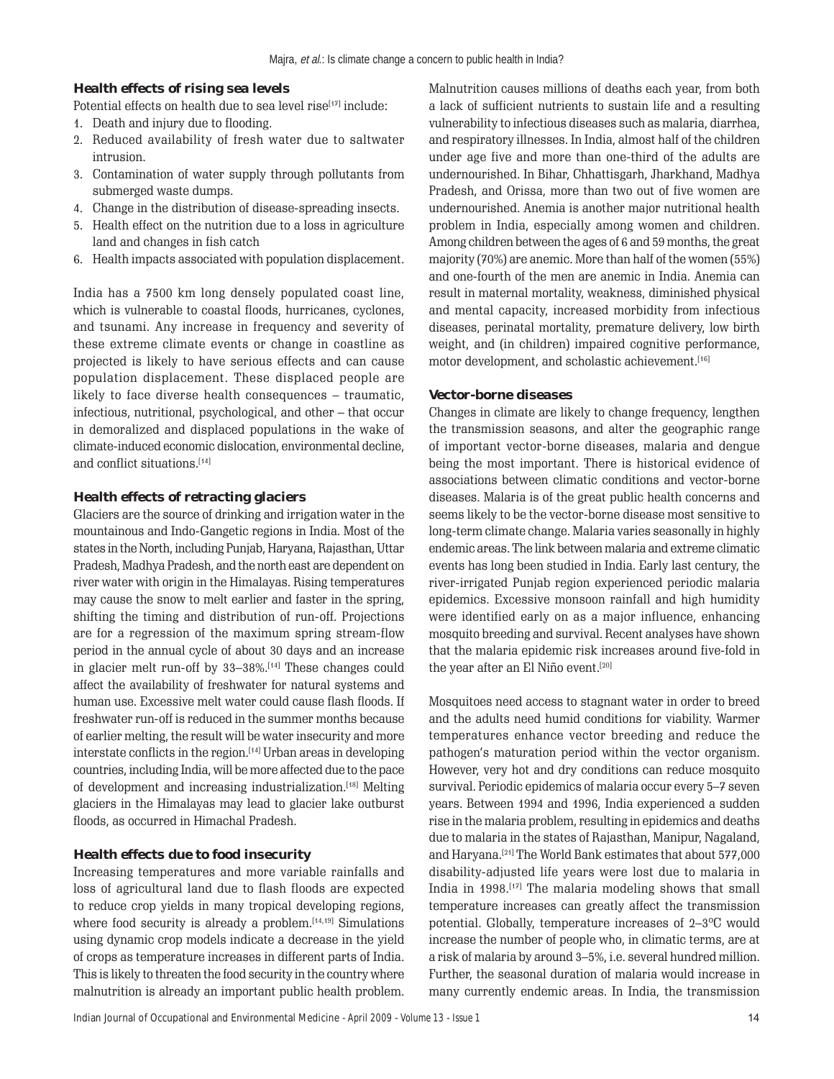#### **Health effects of rising sea levels**

Potential effects on health due to sea level rise $[17]$  include:

- 1. Death and injury due to flooding.
- 2. Reduced availability of fresh water due to saltwater intrusion.
- 3. Contamination of water supply through pollutants from submerged waste dumps.
- 4. Change in the distribution of disease-spreading insects.
- 5. Health effect on the nutrition due to a loss in agriculture land and changes in fish catch
- 6. Health impacts associated with population displacement.

India has a 7500 km long densely populated coast line, which is vulnerable to coastal floods, hurricanes, cyclones, and tsunami. Any increase in frequency and severity of these extreme climate events or change in coastline as projected is likely to have serious effects and can cause population displacement. These displaced people are likely to face diverse health consequences  $-$  traumatic, infectious, nutritional, psychological, and other - that occur in demoralized and displaced populations in the wake of climate-induced economic dislocation, environmental decline, and conflict situations.[14]

#### **Health effects of retracting glaciers**

Glaciers are the source of drinking and irrigation water in the mountainous and Indo-Gangetic regions in India. Most of the states in the North, including Punjab, Haryana, Rajasthan, Uttar Pradesh, Madhya Pradesh, and the north east are dependent on river water with origin in the Himalayas. Rising temperatures may cause the snow to melt earlier and faster in the spring, shifting the timing and distribution of run-off. Projections are for a regression of the maximum spring stream-flow period in the annual cycle of about 30 days and an increase in glacier melt run-off by  $33-38\%$ .<sup>[14]</sup> These changes could affect the availability of freshwater for natural systems and human use. Excessive melt water could cause flash floods. If freshwater run-off is reduced in the summer months because of earlier melting, the result will be water insecurity and more interstate conflicts in the region.[14] Urban areas in developing countries, including India, will be more affected due to the pace of development and increasing industrialization.[18] Melting glaciers in the Himalayas may lead to glacier lake outburst floods, as occurred in Himachal Pradesh.

#### **Health effects due to food insecurity**

Increasing temperatures and more variable rainfalls and loss of agricultural land due to flash floods are expected to reduce crop yields in many tropical developing regions, where food security is already a problem.<sup>[14,19]</sup> Simulations using dynamic crop models indicate a decrease in the yield of crops as temperature increases in different parts of India. This is likely to threaten the food security in the country where malnutrition is already an important public health problem. Malnutrition causes millions of deaths each year, from both a lack of sufficient nutrients to sustain life and a resulting vulnerability to infectious diseases such as malaria, diarrhea, and respiratory illnesses. In India, almost half of the children under age five and more than one-third of the adults are undernourished. In Bihar, Chhattisgarh, Jharkhand, Madhya Pradesh, and Orissa, more than two out of five women are undernourished. Anemia is another major nutritional health problem in India, especially among women and children. Among children between the ages of 6 and 59 months, the great majority (70%) are anemic. More than half of the women (55%) and one-fourth of the men are anemic in India. Anemia can result in maternal mortality, weakness, diminished physical and mental capacity, increased morbidity from infectious diseases, perinatal mortality, premature delivery, low birth weight, and (in children) impaired cognitive performance, motor development, and scholastic achievement.[16]

#### **Vector-borne diseases**

Changes in climate are likely to change frequency, lengthen the transmission seasons, and alter the geographic range of important vector-borne diseases, malaria and dengue being the most important. There is historical evidence of associations between climatic conditions and vector-borne diseases. Malaria is of the great public health concerns and seems likely to be the vector-borne disease most sensitive to long-term climate change. Malaria varies seasonally in highly endemic areas. The link between malaria and extreme climatic events has long been studied in India. Early last century, the river-irrigated Punjab region experienced periodic malaria epidemics. Excessive monsoon rainfall and high humidity were identified early on as a major influence, enhancing mosquito breeding and survival. Recent analyses have shown that the malaria epidemic risk increases around five-fold in the year after an El Niño event.<sup>[20]</sup>

Mosquitoes need access to stagnant water in order to breed and the adults need humid conditions for viability. Warmer temperatures enhance vector breeding and reduce the pathogenís maturation period within the vector organism. However, very hot and dry conditions can reduce mosquito survival. Periodic epidemics of malaria occur every 5-7 seven years. Between 1994 and 1996, India experienced a sudden rise in the malaria problem, resulting in epidemics and deaths due to malaria in the states of Rajasthan, Manipur, Nagaland, and Haryana.[21] The World Bank estimates that about 577,000 disability-adjusted life years were lost due to malaria in India in  $1998$ <sup>[17]</sup> The malaria modeling shows that small temperature increases can greatly affect the transmission potential. Globally, temperature increases of  $2-3^{\circ}C$  would increase the number of people who, in climatic terms, are at a risk of malaria by around 3-5%, i.e. several hundred million. Further, the seasonal duration of malaria would increase in many currently endemic areas. In India, the transmission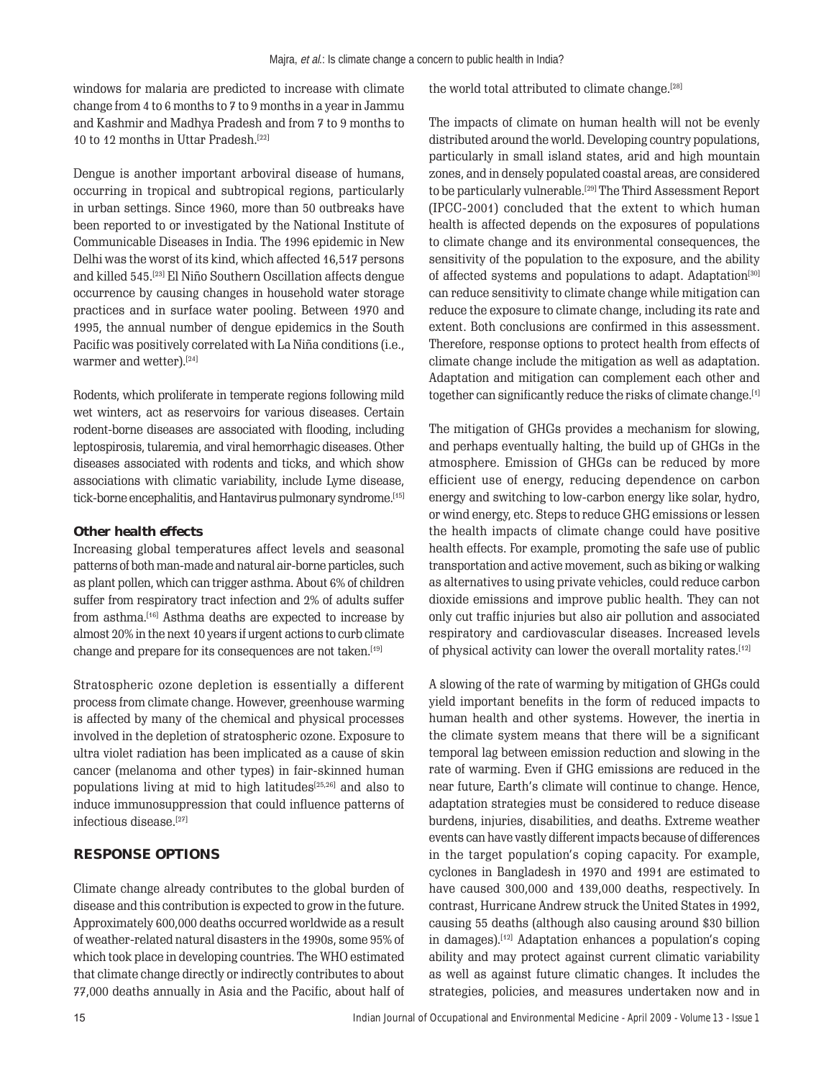windows for malaria are predicted to increase with climate change from 4 to 6 months to 7 to 9 months in a year in Jammu and Kashmir and Madhya Pradesh and from 7 to 9 months to 10 to 12 months in Uttar Pradesh.[22]

Dengue is another important arboviral disease of humans, occurring in tropical and subtropical regions, particularly in urban settings. Since 1960, more than 50 outbreaks have been reported to or investigated by the National Institute of Communicable Diseases in India. The 1996 epidemic in New Delhi was the worst of its kind, which affected 16,517 persons and killed 545.<sup>[23]</sup> El Niño Southern Oscillation affects dengue occurrence by causing changes in household water storage practices and in surface water pooling. Between 1970 and 1995, the annual number of dengue epidemics in the South Pacific was positively correlated with La Niña conditions (i.e., warmer and wetter).[24]

Rodents, which proliferate in temperate regions following mild wet winters, act as reservoirs for various diseases. Certain rodent-borne diseases are associated with flooding, including leptospirosis, tularemia, and viral hemorrhagic diseases. Other diseases associated with rodents and ticks, and which show associations with climatic variability, include Lyme disease, tick-borne encephalitis, and Hantavirus pulmonary syndrome.<sup>[15]</sup>

## **Other health effects**

Increasing global temperatures affect levels and seasonal patterns of both man-made and natural air-borne particles, such as plant pollen, which can trigger asthma. About 6% of children suffer from respiratory tract infection and 2% of adults suffer from asthma.[16] Asthma deaths are expected to increase by almost 20% in the next 10 years if urgent actions to curb climate change and prepare for its consequences are not taken.<sup>[19]</sup>

Stratospheric ozone depletion is essentially a different process from climate change. However, greenhouse warming is affected by many of the chemical and physical processes involved in the depletion of stratospheric ozone. Exposure to ultra violet radiation has been implicated as a cause of skin cancer (melanoma and other types) in fair-skinned human populations living at mid to high latitudes[25,26] and also to induce immunosuppression that could influence patterns of infectious disease<sup>[27]</sup>

## **RESPONSE OPTIONS**

Climate change already contributes to the global burden of disease and this contribution is expected to grow in the future. Approximately 600,000 deaths occurred worldwide as a result of weather-related natural disasters in the 1990s, some 95% of which took place in developing countries. The WHO estimated that climate change directly or indirectly contributes to about 77,000 deaths annually in Asia and the Pacific, about half of the world total attributed to climate change.<sup>[28]</sup>

The impacts of climate on human health will not be evenly distributed around the world. Developing country populations, particularly in small island states, arid and high mountain zones, and in densely populated coastal areas, are considered to be particularly vulnerable.[29] The Third Assessment Report (IPCC-2001) concluded that the extent to which human health is affected depends on the exposures of populations to climate change and its environmental consequences, the sensitivity of the population to the exposure, and the ability of affected systems and populations to adapt. Adaptation<sup>[30]</sup> can reduce sensitivity to climate change while mitigation can reduce the exposure to climate change, including its rate and extent. Both conclusions are confirmed in this assessment. Therefore, response options to protect health from effects of climate change include the mitigation as well as adaptation. Adaptation and mitigation can complement each other and together can significantly reduce the risks of climate change.[1]

The mitigation of GHGs provides a mechanism for slowing, and perhaps eventually halting, the build up of GHGs in the atmosphere. Emission of GHGs can be reduced by more efficient use of energy, reducing dependence on carbon energy and switching to low-carbon energy like solar, hydro, or wind energy, etc. Steps to reduce GHG emissions or lessen the health impacts of climate change could have positive health effects. For example, promoting the safe use of public transportation and active movement, such as biking or walking as alternatives to using private vehicles, could reduce carbon dioxide emissions and improve public health. They can not only cut traffic injuries but also air pollution and associated respiratory and cardiovascular diseases. Increased levels of physical activity can lower the overall mortality rates.[12]

A slowing of the rate of warming by mitigation of GHGs could yield important benefits in the form of reduced impacts to human health and other systems. However, the inertia in the climate system means that there will be a significant temporal lag between emission reduction and slowing in the rate of warming. Even if GHG emissions are reduced in the near future, Earth's climate will continue to change. Hence, adaptation strategies must be considered to reduce disease burdens, injuries, disabilities, and deaths. Extreme weather events can have vastly different impacts because of differences in the target population's coping capacity. For example, cyclones in Bangladesh in 1970 and 1991 are estimated to have caused 300,000 and 139,000 deaths, respectively. In contrast, Hurricane Andrew struck the United States in 1992, causing 55 deaths (although also causing around \$30 billion in damages).<sup>[12]</sup> Adaptation enhances a population's coping ability and may protect against current climatic variability as well as against future climatic changes. It includes the strategies, policies, and measures undertaken now and in